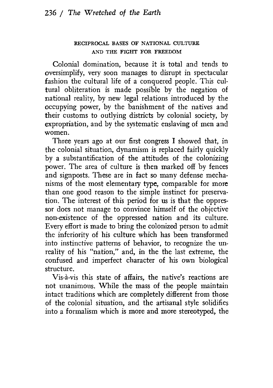## **RECIPROCAL BASES OF NATIONAL CULTURE AND THE FIGHT FOR FREEDOM**

Colonial domination, because it is total and tends to oversimplify, very soon manages to disrupt in spectacular fashion the cultural life of a conquered people. This cultural obliteration is made possible by the negation of national reality, by new legal relations introduced by the occupying power, by the banishment of the natives and their customs to outlying districts by colonial society, by expropriation, and by the systematic enslaving of men and women.

Three years ago at our first congress I showed that, in the colonial situation, dynamism is replaced fairly quickly by a substantification of the attitudes of the colonizing power. The area of culture is then marked off by fences and signposts. These are in fact so many defense mechanisms of the most elementary type, comparable for more than one good reason to the simple instinct for preservation. The interest of this period for us is that the oppressor does not manage to convince himself of the objective non-existence of the oppressed nation and its culture. Every effort is made to bring the colonized person to admit the inferiority of his culture which has been transformed into instinctive patterns of behavior, to recognize the unreality of his "nation," and, in the the last extreme, the confused and imperfect character of his own biological structure.

Vis-a-vis this state of affairs, the native's reactions are not unanimous. While the mass of the people maintain intact traditions which are completely different from those of the colonial situation, and the artisanal style solidifies into a formalism which is more and more stereotyped, the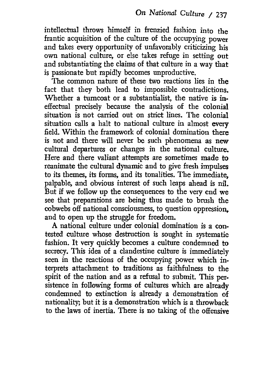intellectual throws himself in frenzied fashion into the frantic acquisition of the culture of the occupying power and takes every opportunity of unfavorably criticizing his own national culture, or else takes refuge in setting out and substantiating the claims of that culture in a way that is passionate but rapidly becomes unproductive.

The common nature of these two reactions lies in the fact that they both lead to impossible contradictions. Whether a turncoat or a substantialist, the native is ineffectual precisely because the analysis of the colonial situation is not carried out on strict lines. The colonial situation calls a halt to national culture in almost every field. Within the framework of colonial domination there is not and there will never be such phenomena as new cultural departures or changes in the national culture. Here and there valiant attempts are sometimes made to reanimate the cultural dynamic and to give fresh impulses to its themes, its forms, and its tonalities. The immediate, palpable, and obvious interest of such leaps ahead is nil. But if we follow up the consequences to the very end we see that preparations are being thus made to brush the cobwebs off national consciousness, to question oppression, and to open up the struggle for freedom.

A national culture under colonial domination is a contested culture whose destruction is sought in systematic fashion. It very quickly becomes a culture condemned to secrecy. This idea of a clandestine culture is immediately seen in the reactions of the occupying power which interprets attachment to traditions as faithfulness to the spirit of the nation and as a refusal to submit. This persistence in following forms of cultures which are already condemned to extinction is already a demonstration of nationality; but it is a demonstration which is a throwback to the laws of inertia. There is no taking of the offensive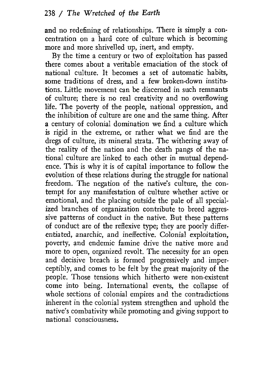and no redefining of relationships. There is simply a concentration on a hard core of culture which is becoming more and more shrivelled up, inert, and empty.

By the time a century or two of exploitation has passed there comes about a veritable emaciation of the stock of national culture. It becomes a set of automatic habits, some traditions of dress, and a few broken-down institutions. Little movement can be discerned in such remnants of culture; there is no real creativity and no overflowing life. The poverty of the people, national oppression, and the inhibition of culture are one and the same thing. After a century of colonial domination we find a culture which is rigid in the extreme, or rather what we find are the dregs of culture, its mineral strata. The withering away of the reality of the nation and the death pangs of the national culture are linked to each other in mutual dependence. This is why it is of capital importance to follow the evolution of these relations during the struggle for national freedom. The negation of the native's culture, the contempt for any manifestation of culture whether active or emotional, and the placing outside the pale of all specialized branches of organization contribute to breed aggressive patterns of conduct in the native. But these patterns of conduct are of the reflexive type; they are poorly differentiated, anarchic, and ineffective. Colonial exploitation, poverty, and endemic famine drive the native more and more to open, organized revolt. The necessity for an open and decisive breach is formed progressively and. imperceptibly, and comes to be felt by the great majority of the people. Those tensions which hitherto were non-existent come into being. International events, the collapse of whole sections of colonial empires and the contradictions inherent in the colonial system strengthen and uphold the native's combativity while promoting and giving support to national consciousness.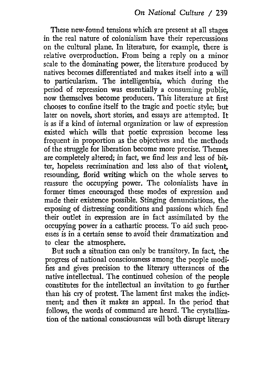These new-found tensions which are present at all stages in the real nature of colonialism have their repercussions on the cultural plane. In literature, for example, there is relative overproduction. From being a reply on a minor scale to the dominating power, the literature produced by natives becomes differentiated and makes itself into a will to particularism. The intelligentsia, which during the period of repression was essentially a consuming public, now themselves become producers. This literature at first chooses to confine itself to the tragic and poetic style; but later on novels, short stories, and essays are attempted. It is as if a kind of internal organization or law of expression existed which wills that poetic expression become less frequent in proportion as the objectives and the methods of the struggle for liberation become more precise. Themes are completely altered; in fact, we find less and less of bitter, hopeless recrimination and less also of that violent, resounding, florid writing which on the whole serves to reassure the occupying power. The colonialists have in former times encouraged these modes of expression and made their existence possible. Stinging denunciations, the exposing of distressing conditions and passions which find their outlet in expression are in fact assimilated by the occupying power in a cathartic process. To aid such processes is in a certain sense to avoid their dramatization and to clear the atmosphere.

But such a situation can only be transitory. In fact, the progress of national consciousness among the people modifies and gives precision to the literary utterances of the native intellectual. The continued cohesion of the people constitutes for the intellectual an invitation to go further than his cry of protest. The lament first makes the indictment; and then it makes an appeal. In the period that follows, the words of command are heard. The crystallization of the national consciousness will both disrupt literary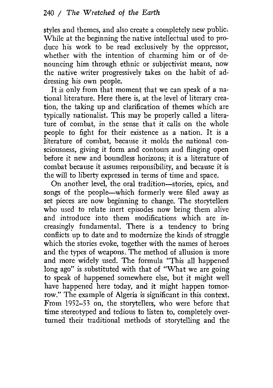styles and themes, and also create a completely new public. While at the beginning the native intellectual used to produce his work to be read exclusively by the oppressor, whether with the intention of charming him or of denouncing him through ethnic or subjectivist means, now the native writer progressively takes on the habit of addressing his own people.

It is only from that moment that we can speak of a national literature. Here there is, at the level of literary creation, the taking up and clarification of themes which are typically nationalist. This may be properly called a literature of combat, in the sense that it calls on the whole people to fight for their existence as a nation. It is a literature of combat, because it molds the national consciousness, giving it form and contours and flinging open before it new and boundless horizons; it is a literature of combat because it assumes responsibility, and because it is the will to liberty expressed in terms of time and space.

On another level, the oral tradition—stories, epics, and songs of the people—which formerly were filed away as set pieces are now beginning to change. The storytellers who used to relate inert episodes now bring them alive and introduce into them modifications which are increasingly fundamental. There is a tendency to bring conflicts up to date and to modernize the kinds of struggle which the stories evoke, together with the names of heroes and the types of weapons. The method of allusion is more and more widely used. The formula "This all happened long ago" is substituted with that of "What we are going to speak of happened somewhere else, but it might well have happened here today, and it might happen tomorrow." The example of Algeria is significant in this context. From 1952-53 on, the storytellers, who were before that time stereotyped and tedious to listen to, completely overturned their traditional methods of storytelling and the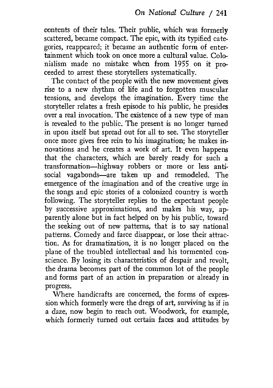contents of their tales. Their public, which was formerly scattered, became compact. The epic, with its typified categories, reappeared; it became an authentic form of entertainment which took on once more a cultural value. Colonialism made no mistake when from 1955 on it proceeded to arrest these storytellers systematically.

The contact of the people with the new movement gives rise to a new rhythm of life and to forgotten muscular tensions, and develops the imagination. Every time the storyteller relates a fresh episode to his public, he presides over a real invocation. The existence of a new type of man is revealed to the public. The present is no longer turned in upon itself but spread out for all to see. The storyteller once more gives free rein to his imagination; he makes innovations and he creates a work of art. It even happens that the characters, which are barely ready for such a transformation—highway robbers or more or less antisocial vagabonds—are taken up and remodeled. The emergence of the imagination and of the creative urge in the songs and epic stories of a colonized country is worth following. The storyteller replies to the expectant people by successive approximations, and makes his way, apparently alone but in fact helped on by his public, toward the seeking out of new patterns, that is to say national patterns. Comedy and farce disappear, or lose their attraction. As for dramatization, it is no longer placed on the plane of the troubled intellectual and his tormented conscience. By losing its characteristics of despair and revolt, the drama becomes part of the common lot of the people and forms part of an action in preparation or already in progress.

Where handicrafts are concerned, the forms of expression which formerly were the dregs of art, surviving as if in a daze, now begin to reach out. Woodwork, for example, which formerly turned out certain faces and attitudes by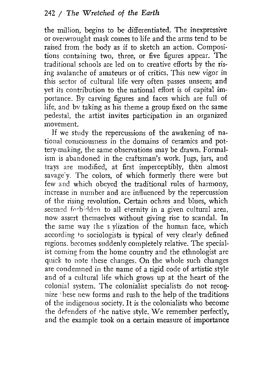the million, begins to be differentiated. The inexpressive or overwrought mask comes to life and the arms tend to be raised from the body as if to sketch an action. Compositions containing two, three, or five figures appear. The traditional schools are led on to creative efforts by the rising avalanche of amateurs or of critics. This new vigor in this sector of cultural life very often passes unseen; and yet its contribution to the national effort is of capital importance. By carving figures and faces which are full of life, and bv taking as his theme a group fixed on the same pedestal, the artist invites participation in an organized movement.

If we study the repercussions of the awakening of national consciousness in the domains of ceramics and pottery-making, the same observations may be drawn. Formalism is abandoned in the craftsman's work. Jugs, jars, and trays are modified, at first imperceptibly, then almost savage'y. The colors, of which formerly there were but few and which obeyed the traditional rules of harmony, increase in number and are influenced by the repercussion of the rising revolution. Certain ochres and blues, which seemed forbidden to all eternity in a given cultural area, now assert themselves without giving rise to scandal. In the same way the s ylization of the human face, which according to sociologists is typical of very clearly defined regions, becomes suddenly completely relative. The specialist coming from the home country and the ethnologist are quick to note these changes. On the whole such changes are condemned in the name of a rigid code of artistic style and of a cultural life which grows up at the heart of the colonial system. The colonialist specialists do not recognize : hese new forms and rush to the help of the traditions of the indigenous society. It is the colonialists who become the defenders of the native style. We remember perfectly, and the example took on a certain measure of importance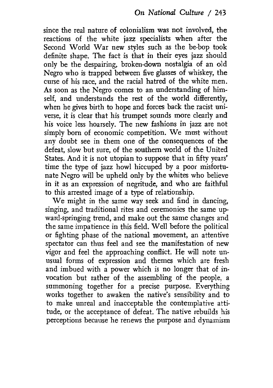since the real nature of colonialism was not involved, the reactions of the white jazz specialists when after the Second World War new styles such as the be-bop took definite shape. The fact is that in their eyes jazz should only be the despairing, broken-down nostalgia of an old Negro who is trapped between five glasses of whiskey, the curse of his race, and the racial hatred of the white men. As soon as the Negro comes to an understanding of himself, and understands the rest of the world differently, when he gives birth to hope and forces back the racist universe, it is clear that his trumpet sounds more clearly and his voice less hoarsely. The new fashions in jazz are not simply born of economic competition. We must without any doubt see in them one of the consequences of the defeat, slow but sure, of the southern world of the United States. And it is not utopian to suppose that in fifty years' time the type of jazz howl hiccuped by a poor misfortunate Negro will be upheld only by the whites who believe in it as an expression of negritude, and who are faithful to this arrested image of a type of relationship.

We might in the same way seek and find in dancing, singing, and traditional rites and ceremonies the same upward-springing trend, and make out the same changes and the same impatience in this field. Well before the political or fighting phase of the national movement, an attentive spectator can thus feel and see the manifestation of new vigor and feel the approaching conflict. He will note unusual forms of expression and themes which are fresh and imbued with a power which is no longer that of invocation but rather of the assembling of the people, a summoning together for a precise purpose. Everything works together to awaken the native's sensibility and to to make unreal and inacceptable the contemplative attitude, or the acceptance of defeat. The native rebuilds his perceptions because he renews the purpose and dynamism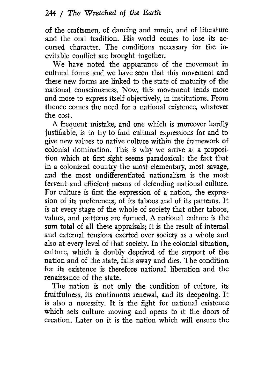of the craftsmen, of dancing and music, and of literature and the oral tradition. His world comes to lose its accursed character. The conditions necessary for the inevitable conflict are brought together.

We have noted the appearance of the movement in cultural forms and we have seen that this movement and these new forms are linked to the state of maturity of the national consciousness. Now, this movement tends more and more to express itself objectively, in institutions. From thence comes the need for a national existence, whatever the cost.

A frequent mistake, and one which is moreover hardly justifiable, is to try to find cultural expressions for and to give new values to native culture within the framework of colonial domination. This is why we arrive at a proposition which at first sight seems paradoxical: the fact that in a colonized country the most elementary, most savage, and the most undifferentiated nationalism is the most fervent and efficient means of defending national culture. For culture is first the expression of a nation, the expression of its preferences, of its taboos and of its patterns. It is at every stage of the whole of society that other taboos, values, and patterns are formed. A national culture is the sum total of all these appraisals; it is the result of internal and external tensions exerted over society as a whole and also at every level of that society. In the colonial situation, culture, which is doubly deprived of the support of the nation and of the state, falls away and dies. The condition for its existence is therefore national liberation and the renaissance of the state.

The nation is not only the condition of culture, its fruitfulness, its continuous renewal, and its deepening. It is also a necessity. It is the fight for national existence which sets culture moving and opens to it the doors of creation. Later on it is the nation which will ensure the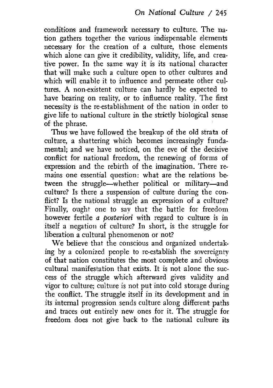conditions and framework necessary to culture. The nation gathers together the various indispensable elements necessary for the creation of a culture, those elements which alone can give it credibility, validity, life, and creative power. In the same way it is its national character that will make such a culture open to other cultures and which will enable it to influence and permeate other cultures. A non-existent culture can hardly be expected to have bearing on reality, or to influence reality. The first necessity is the re-establishment of the nation in order to give life to national culture in the strictly biological sense of the phrase.

Thus we have followed the breakup of the old strata of culture, a shattering which becomes increasingly fundamental; and we have noticed, on the eve of the decisive conflict for national freedom, the renewing of forms of expression and the rebirth of the imagination. There remains one essential question: what are the relations between the struggle—whether political or military—and culture? Is there a suspension of culture during the conflict? Is the national struggle an expression of a culture? Finally, ought one to say that the battle for freedom however fertile *a posteriori* with regard to culture is in itself a negation of culture? In short, is the struggle for liberation a cultural phenomenon or not?

We believe that the conscious and organized undertaking by a colonized people to re-establish the sovereignty of that nation constitutes the most complete and obvious cultural manifestation that exists. It is not alone the success of the struggle which afterward gives validity and vigor to culture; culture is not put into cold storage during the conflict. The struggle itself in its development and in its internal progression sends culture along different paths and traces out entirely new ones for it. The struggle for freedom does not give back to the national culture its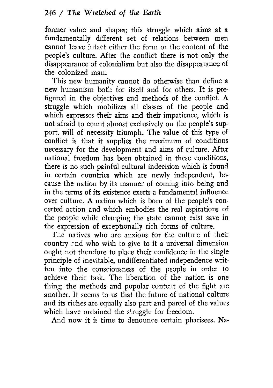former value and shapes; this struggle which aims at a fundamentally different set of relations between men cannot leave intact either the form or the content of the people's culture. After the conflict there is not only the disappearance of colonialism but also the disappearance of the colonized man.

This new humanity cannot do otherwise than define a new humanism both for itself and for others. It is prefigured in the objectives and methods of the conflict. A struggle which mobilizes all classes of the people and which expresses their aims and their impatience, which is not afraid to count almost exclusively on the people's support, will of necessity triumph. The value of this type of conflict is that it supplies the maximum of conditions necessary for the development and aims of culture. After national freedom has been obtained in these conditions, there is no such painful cultural indecision which is found in certain countries which are newly independent, because the nation by its manner of coming into being and in the terms of its existence exerts a fundamental influence over culture. A nation which is born of the people's concerted action and which embodies the real aspirations of the people while changing the state cannot exist save in the expression of exceptionally rich forms of culture.

The natives who are anxious for the culture of their country rnd who wish to give to it a universal dimension ought not therefore to place their confidence in the single principle of inevitable, undifferentiated independence written into the consciousness of the people in order to achieve their task. The liberation of the nation is one thing; the methods and popular content of the fight are another. It seems to us that the future of national culture and its riches are equally also part and parcel of the values which have ordained the struggle for freedom.

And now it is time to denounce certain pharisees. Na-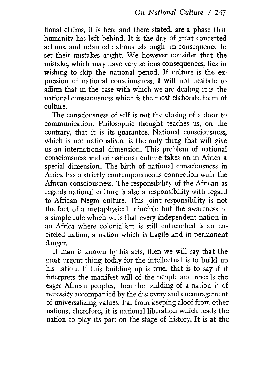tional claims, it is here and there stated, are a phase that humanity has left behind. It is the day of great concerted actions, and retarded nationalists ought in consequence to set their mistakes aright. We however consider that the mistake, which may have very serious consequences, lies in wishing to skip the national period. If culture is the expression of national consciousness, I will not hesitate to affirm that in the case with which we are dealing it is the national consciousness which is the most elaborate form of culture.

The consciousness of self is not the closing of a door to communication. Philosophic thought teaches us, on the contrary, that it is its guarantee. National consciousness, which is not nationalism, is the only thing that will give us an international dimension. This problem of national consciousness and of national culture takes on in Africa a special dimension. The birth of national consciousness in Africa has a strictly contemporaneous connection with the African consciousness. The responsibility of the African as regards national culture is also a responsibility with regard to African Negro culture. This joint responsibility is not the fact of a metaphysical principle but the awareness of a simple rule which wills that every independent nation in an Africa where colonialism is still entrenched is an encircled nation, a nation which is fragile and in permanent danger.

If man is known by his acts, then we will say that the most urgent thing today for the intellectual is to build up his nation. If this building up is true, that is to say if it interprets the manifest will of the people and reveals the eager African peoples, then the building of a nation is of necessity accompanied by the discovery and encouragement of universalizing values. Far from keeping aloof from other nations, therefore, it is national liberation which leads the nation to play its part on the stage of history. It is at the